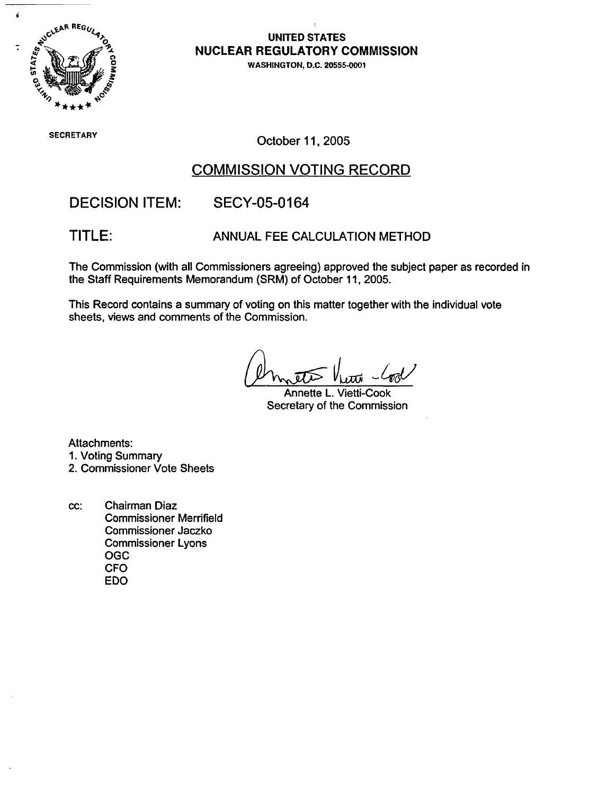

# **NUCLEAR REGULATORY COMMISSION**

WASHINGTON, D.C. 20555-0001

SECRETARY COLORED THE CONTROL CONTROL CONTROL OCTOBER 11, 2005

# COMMISSION VOTING RECORD

DECISION ITEM: SECY-05-0164

TITLE: ANNUAL FEE CALCULATION METHOD

The Commission (with all Commissioners agreeing) approved the subject paper as recorded in the Staff Requirements Memorandum (SRM) of October 11, 2005.

This Record contains a summary of voting on this matter together with the individual vote sheets, views and comments of the Commission.

Annette L. Vietti-Cook Secretary of the Commission

Attachments:

- 1. Voting Summary
- 2. Commissioner Vote Sheets
- cc: Chairman Diaz Commissioner Merrifield Commissioner Jaczko Commissioner Lyons OGC CFO EDO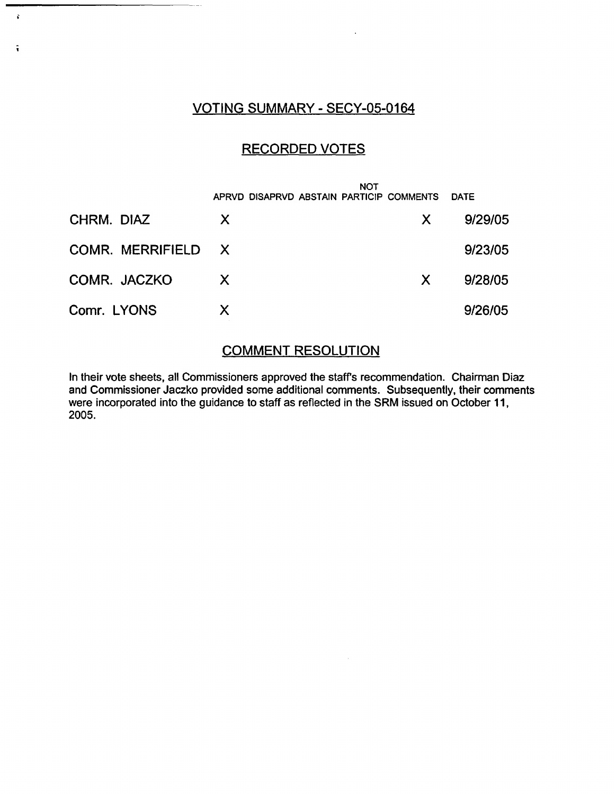### VOTING SUMMARY - SECY-05-0164

 $\mathbf{r}$ 

 $\ddot{\bullet}$ 

### RECORDED VOTES

|                    | <b>NOT</b><br>APRVD DISAPRVD ABSTAIN PARTICIP COMMENTS |    | <b>DATE</b> |
|--------------------|--------------------------------------------------------|----|-------------|
| CHRM. DIAZ         | $\mathsf{X}$                                           | X. | 9/29/05     |
| COMR. MERRIFIELD X |                                                        |    | 9/23/05     |
| COMR. JACZKO       | X                                                      | X  | 9/28/05     |
| Comr. LYONS        | X                                                      |    | 9/26/05     |

### COMMENT RESOLUTION

In their vote sheets, all Commissioners approved the staffs recommendation. Chairman Diaz and Commissioner Jaczko provided some additional comments. Subsequently, their comments were incorporated into the guidance to staff as reflected in the SRM issued on October 11, 2005.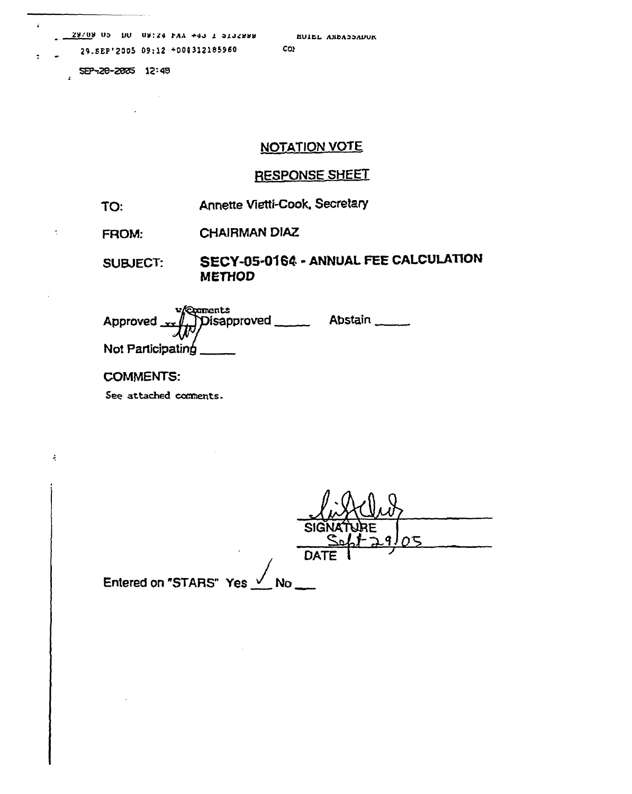$29/09$  Op DO 09:24 FAA +40 1 5132998 29.SEP'2005 09:12 +004312185960

SEP-28-2005 12:48

 $\sim 10^{-11}$ 

 $\mathbf{r}$ 

 $\ddot{\cdot}$ 

 $\zeta$  .

 $\mathcal{L}_{\mathcal{C}}$ 

### **NOTATION VOTE**

### RESPONSE SHEET

- Annette Vietti-Cook, Secretary TO:
- **CHAIRMAN DIAZ FROM:**

#### SECY-05-0164 - ANNUAL FEE CALCULATION **SUBJECT: METHOD**

| proved redunents<br>pisapproved reductions of | <b>Abstain</b> |
|-----------------------------------------------|----------------|
| Not Participating                             |                |

 $\sim$ 

#### **COMMENTS:**

See attached comments.

| <b>SIGNATY</b><br>$\alpha$            |  |
|---------------------------------------|--|
| <b>DATE</b>                           |  |
| Entered on "STARS" Yes $\sqrt{\ }$ No |  |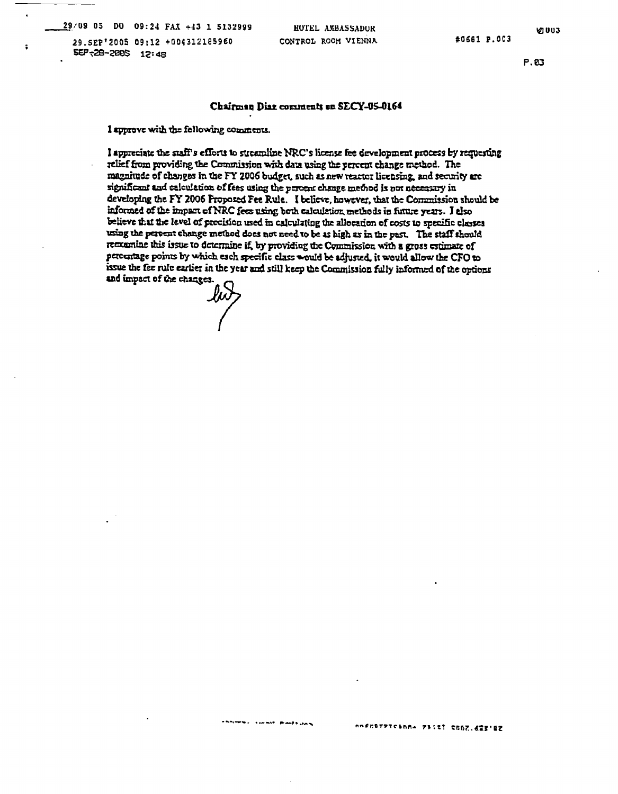$29/09$  05 DO 09:24 FAX +43 1 5132999

 $\ddot{\phantom{a}}$ 

29.SEP'2005 09:12 +004312185960 SEP-28-2005 12:48

HUTEL ANBASSADUR CONTROL ROOM VIEHNA

**VI 003** 

 $P.B3$ 

#### Chairman Diaz comments on SECY-U5-0164

I approve with the following comments.

I appreciate the staff's efforts to streamline NRC's license fee development process by requesting relief from providing the Commission with data using the percent change method. The magnitude of changes in the FY 2006 budget, such as new reactor licensing, and security are significant and ealculation of fees using the percent change method is not necessary in developing the FY 2006 Proposed Fee Rule. I believe, however, that the Commission should be informed of the impact of NRC fees using both calculation methods in future years. I also believe that the level of precision used in calculating the allocation of costs to specific classes using the persent change method does not need to be as high as in the past. The staff should remaine this issue to determine if, by providing the Commission with a gross estimate of percentage points by which each specific class would be adjusted, it would allow the CFO to issue the fee rule earlier in the year and still keep the Commission fully informed of the options and impact of the changes.

يحجرونه فللمنافي الجحاسيب الربيحتين ومانات nofcorpreshn= 73:4: CCDZ.d25'82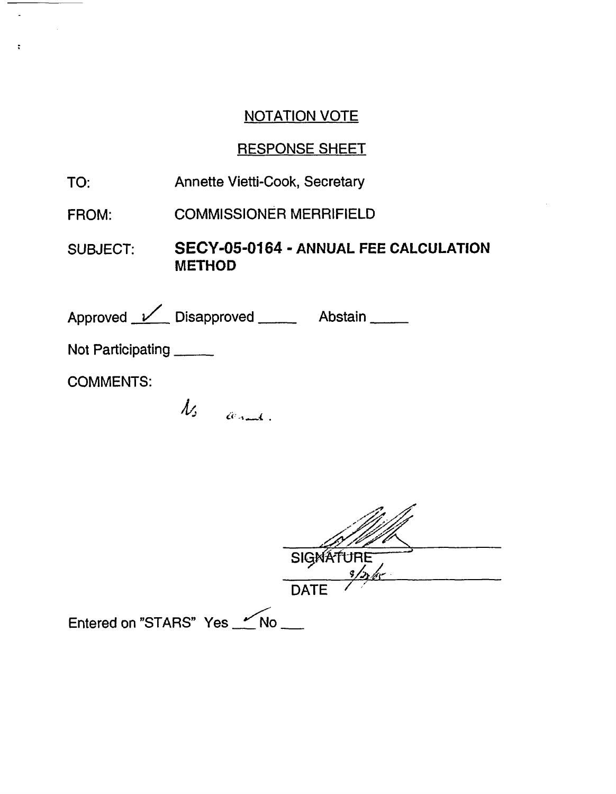# **NOTATION VOTE**

# **RESPONSE SHEET**

Annette Vietti-Cook, Secretary TO:

 $\mathcal{L}$ 

 $\ddot{\cdot}$ 

- **COMMISSIONER MERRIFIELD** FROM:
- SECY-05-0164 ANNUAL FEE CALCULATION SUBJECT: **METHOD**

| Approved <u>V</u> Disapproved | Abstain |
|-------------------------------|---------|
| Not Participating             |         |
| <b>COMMENTS:</b>              |         |
|                               |         |

Ns cerant.

|                             | SIGNATURE<br>$9/2$ / $45$ |
|-----------------------------|---------------------------|
|                             | <b>DATE</b>               |
| Entered on "STARS" Yes _ No |                           |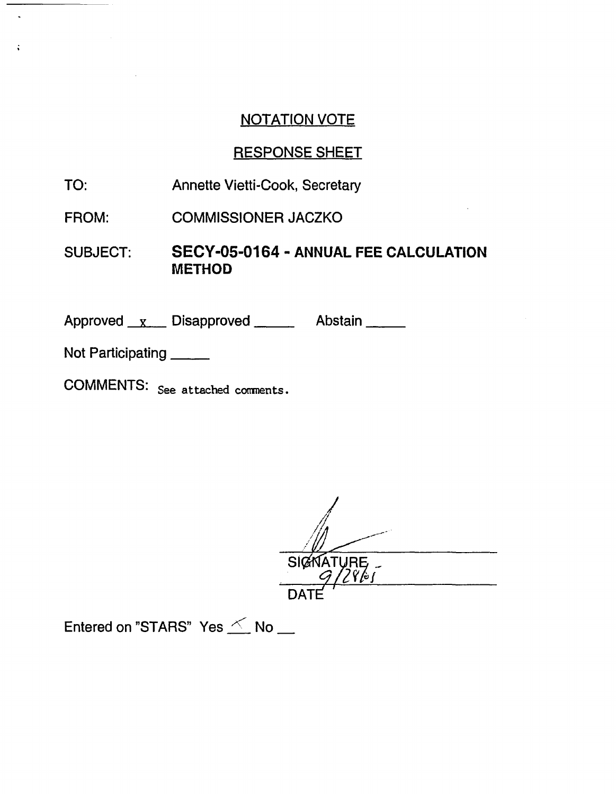# NOTATION VOTE

# RESPONSE SHEET

- TO: Annette Vietti-Cook, Secretary
- FROM: COMMISSIONER JACZKO
- SUBJECT: **SECY-05-0164 - ANNUAL FEE CALCULATION METHOD**

Approved x Disapproved Abstain

Not Participating \_\_\_\_\_

COMMENTS: See attached comments.

SIGNATURE

Entered on "STARS" Yes  $\leq$  No  $\equiv$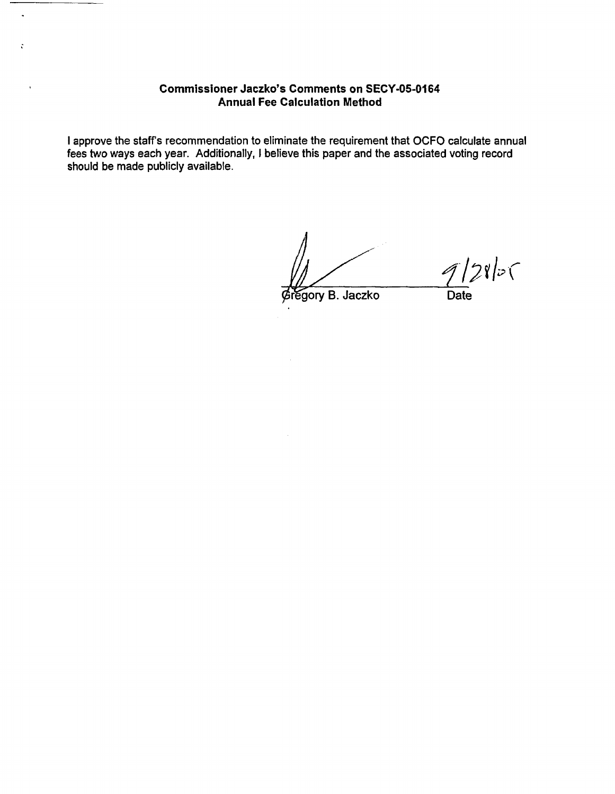### **Commissioner Jaczko's Comments on SECY-05-0164 Annual Fee Calculation Method**

 $\ddot{\phantom{a}}$ 

 $\ddot{\mathbf{c}}$ 

 $\ddot{\phantom{a}}$ 

I approve the staff's recommendation to eliminate the requirement that OCFO calculate annual fees two ways each year. Additionally, I believe this paper and the associated voting record should be made publicly available.

 $128$ p( regory B. Jaczko Date